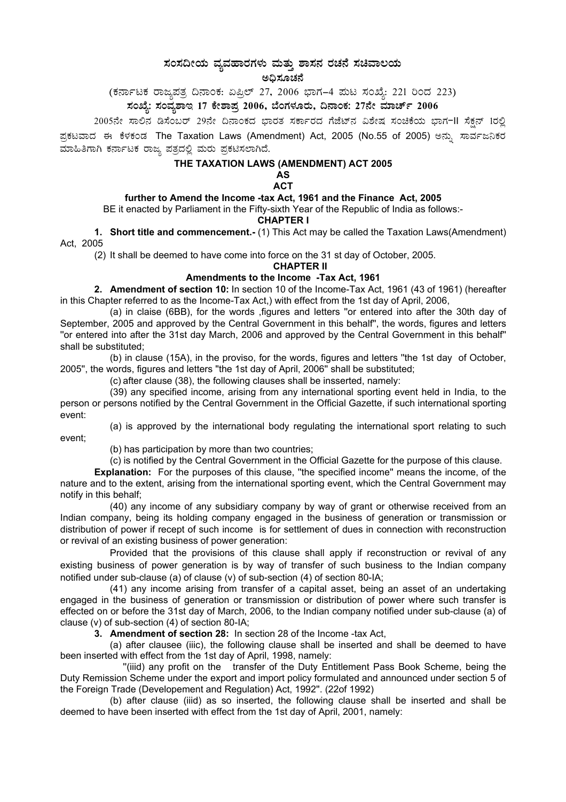# **¸ÀA¸À¢ÃAiÀÄ ªÀåªÀºÁgÀUÀ¼ÀÄ ªÀÄvÀÄÛ ±Á¸À£À gÀZÀ£É ¸ÀaªÁ®AiÀÄ**

ಅಧಿಸೂಚನೆ

(ಕರ್ನಾಟಕ ರಾಜ್ಯಪತ್ರ ದಿನಾಂಕ: ಏಪ್ರಿಲ್ 27, 2006 ಭಾಗ–4 ಮಟ ಸಂಖ್ಯೆ: 221 ರಿಂದ 223)

# ಸಂಖ್ಯೆ: ಸಂವ್ಯಶಾಇ 17 ಕೇಶಾಪ್ರ 2006, ಬೆಂಗಳೂರು, ದಿನಾಂಕ: 27ನೇ ಮಾರ್ಚ್ 2006

2005ನೇ ಸಾಲಿನ ಡಿಸೆಂಬರ್ 29ನೇ ದಿನಾಂಕದ ಭಾರತ ಸರ್ಕಾರದ ಗೆಜೆಟ್ನ ವಿಶೇಷ ಸಂಚಿಕೆಯ ಭಾಗ−II ಸೆಕ್ಷನ್ 1ರಲ್ಲಿ ಪ್ರಕಟವಾದ ಈ ಕೆಳಕಂಡ The Taxation Laws (Amendment) Act, 2005 (No.55 of 2005) ಅನ್ನು ಸಾರ್ವಜನಿಕರ ಮಾಹಿತಿಗಾಗಿ ಕರ್ನಾಟಕ ರಾಜ್ಯ ಪತ್ರದಲ್ಲಿ ಮರು ಪ್ರಕಟಿಸಲಾಗಿದೆ.

# **THE TAXATION LAWS (AMENDMENT) ACT 2005**

**AS ACT** 

# **further to Amend the Income -tax Act, 1961 and the Finance Act, 2005**

BE it enacted by Parliament in the Fifty-sixth Year of the Republic of India as follows:-

### **CHAPTER I**

**1. Short title and commencement.-** (1) This Act may be called the Taxation Laws(Amendment) Act, 2005

(2) It shall be deemed to have come into force on the 31 st day of October, 2005.

**CHAPTER II** 

## **Amendments to the Income -Tax Act, 1961**

**2. Amendment of section 10:** In section 10 of the Income-Tax Act, 1961 (43 of 1961) (hereafter in this Chapter referred to as the Income-Tax Act,) with effect from the 1st day of April, 2006,

(a) in claise (6BB), for the words ,figures and letters ''or entered into after the 30th day of September, 2005 and approved by the Central Government in this behalf'', the words, figures and letters ''or entered into after the 31st day March, 2006 and approved by the Central Government in this behalf'' shall be substituted;

(b) in clause (15A), in the proviso, for the words, figures and letters ''the 1st day of October, 2005'', the words, figures and letters ''the 1st day of April, 2006'' shall be substituted;

(c) after clause (38), the following clauses shall be insserted, namely:

(39) any specified income, arising from any international sporting event held in India, to the person or persons notified by the Central Government in the Official Gazette, if such international sporting event:

(a) is approved by the international body regulating the international sport relating to such event;

(b) has participation by more than two countries;

(c) is notified by the Central Government in the Official Gazette for the purpose of this clause.

**Explanation:** For the purposes of this clause, ''the specified income'' means the income, of the nature and to the extent, arising from the international sporting event, which the Central Government may notify in this behalf;

(40) any income of any subsidiary company by way of grant or otherwise received from an Indian company, being its holding company engaged in the business of generation or transmission or distribution of power if recept of such income is for settlement of dues in connection with reconstruction or revival of an existing business of power generation:

Provided that the provisions of this clause shall apply if reconstruction or revival of any existing business of power generation is by way of transfer of such business to the Indian company notified under sub-clause (a) of clause (v) of sub-section (4) of section 80-IA;

(41) any income arising from transfer of a capital asset, being an asset of an undertaking engaged in the business of generation or transmission or distribution of power where such transfer is effected on or before the 31st day of March, 2006, to the Indian company notified under sub-clause (a) of clause (v) of sub-section (4) of section 80-IA;

**3. Amendment of section 28:** In section 28 of the Income -tax Act,

(a) after clausee (iiic), the following clause shall be inserted and shall be deemed to have been inserted with effect from the 1st day of April, 1998, namely:

''(iiid) any profit on the transfer of the Duty Entitlement Pass Book Scheme, being the Duty Remission Scheme under the export and import policy formulated and announced under section 5 of the Foreign Trade (Developement and Regulation) Act, 1992''. (22of 1992)

(b) after clause (iiid) as so inserted, the following clause shall be inserted and shall be deemed to have been inserted with effect from the 1st day of April, 2001, namely: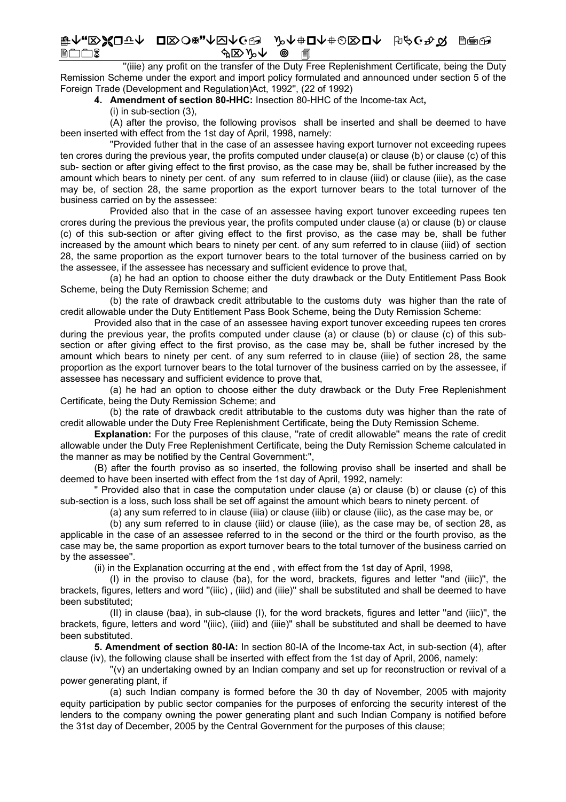#### ⊧ᠰ<sub>₩</sub>RЖО⊽↑ OR>O¤"↑⊡∱G® ♪♪↑⊕О∧±©®D↑ ♭/∂G\*☆ ||<del>®</del>® יר⊓ר <u> କ⊠> ∿</u>

lie) any profit on the transfer of the Duty Free Replenishment Certificate, being the Duty" Remission Scheme under the export and import policy formulated and announced under section 5 of the Foreign Trade (Development and Regulation)Act, 1992", (22 of 1992)

4. Amendment of section 80-HHC: Insection 80-HHC of the Income-tax Act,

(i) in sub-section (3).

(A) after the proviso, the following provisos shall be inserted and shall be deemed to have been inserted with effect from the 1st day of April, 1998, namely:

"Provided futher that in the case of an assessee having export turnover not exceeding rupees ten crores during the previous year, the profits computed under clause(a) or clause (b) or clause (c) of this sub- section or after giving effect to the first proviso, as the case may be, shall be futher increased by the amount which bears to ninety per cent. of any sum referred to in clause (iiid) or clause (iiie), as the case may be, of section 28, the same proportion as the export turnover bears to the total turnover of the business carried on by the assessee:

Provided also that in the case of an assessee having export tunover exceeding rupees ten crores during the previous the previous year, the profits computed under clause (a) or clause (b) or clause (c) of this sub-section or after giving effect to the first proviso, as the case may be, shall be futher increased by the amount which bears to ninety per cent. of any sum referred to in clause (iiid) of section 28, the same proportion as the export turnover bears to the total turnover of the business carried on by the assessee, if the assessee has necessary and sufficient evidence to prove that.

(a) he had an option to choose either the duty drawback or the Duty Entitlement Pass Book Scheme, being the Duty Remission Scheme; and

(b) the rate of drawback credit attributable to the customs duty was higher than the rate of credit allowable under the Duty Entitlement Pass Book Scheme, being the Duty Remission Scheme:

Provided also that in the case of an assessee having export tunover exceeding rupees ten crores during the previous year, the profits computed under clause (a) or clause (b) or clause (c) of this subsection or after giving effect to the first proviso, as the case may be, shall be futher incresed by the amount which bears to ninety per cent. of any sum referred to in clause (iiie) of section 28, the same proportion as the export turnover bears to the total turnover of the business carried on by the assessee, if assessee has necessary and sufficient evidence to prove that,

(a) he had an option to choose either the duty drawback or the Duty Free Replenishment Certificate, being the Duty Remission Scheme; and

(b) the rate of drawback credit attributable to the customs duty was higher than the rate of credit allowable under the Duty Free Replenishment Certificate, being the Duty Remission Scheme.

Explanation: For the purposes of this clause. "rate of credit allowable" means the rate of credit allowable under the Duty Free Replenishment Certificate, being the Duty Remission Scheme calculated in the manner as may be notified by the Central Government:",

(B) after the fourth proviso as so inserted, the following proviso shall be inserted and shall be deemed to have been inserted with effect from the 1st day of April, 1992, namely:

" Provided also that in case the computation under clause (a) or clause (b) or clause (c) of this sub-section is a loss, such loss shall be set off against the amount which bears to ninety percent. of

(a) any sum referred to in clause (iiia) or clause (iiib) or clause (iiic), as the case may be, or

(b) any sum referred to in clause (iiid) or clause (iiie), as the case may be, of section 28, as applicable in the case of an assessee referred to in the second or the third or the fourth proviso, as the case may be, the same proportion as export turnover bears to the total turnover of the business carried on by the assessee".

(ii) in the Explanation occurring at the end, with effect from the 1st day of April, 1998,

(I) in the proviso to clause (ba), for the word, brackets, figures and letter "and (iiic)". the brackets, figures, letters and word "(iiic), (iiid) and (iiie)" shall be substituted and shall be deemed to have been substituted:

(II) in clause (baa), in sub-clause (I), for the word brackets, figures and letter "and (iiic)", the brackets, figure, letters and word "(iiic), (iiid) and (iiie)" shall be substituted and shall be deemed to have been substituted.

5. Amendment of section 80-IA: In section 80-IA of the Income-tax Act. in sub-section (4), after clause (iv), the following clause shall be inserted with effect from the 1st day of April, 2006, namely:

"(v) an undertaking owned by an Indian company and set up for reconstruction or revival of a power generating plant, if

(a) such Indian company is formed before the 30 th day of November, 2005 with majority equity participation by public sector companies for the purposes of enforcing the security interest of the lenders to the company owning the power generating plant and such Indian Company is notified before the 31st day of December, 2005 by the Central Government for the purposes of this clause;